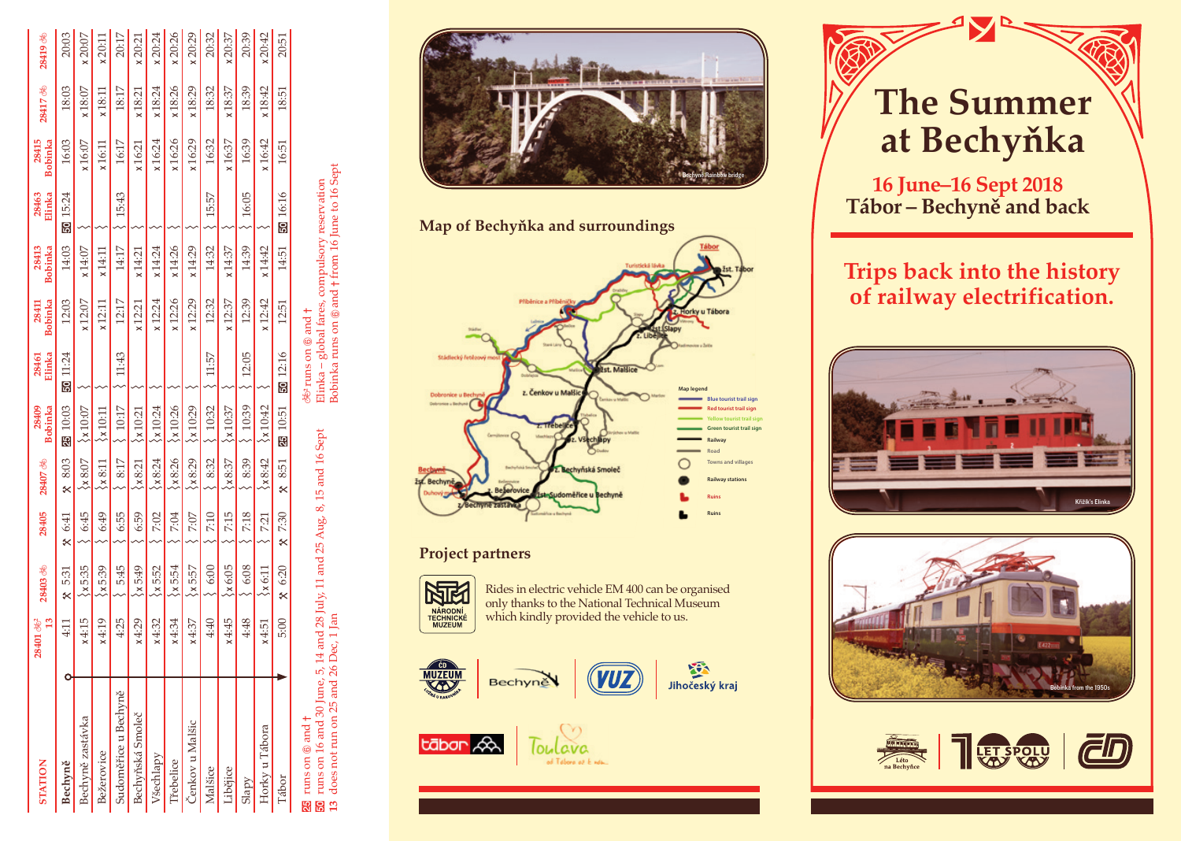| <b>STATION</b>       | $\mathbf{r}$<br>$28401$ $%$ | 28403 %         | 28405    | 28407 &         | <b>Bobinka</b><br>28409 | Elinka<br>28461                  | Bobinka<br>28411 | Bobinka<br>28413 | Elinka<br>28463 | Bobinka<br>28415 | 28417 26 | 28419 8 |
|----------------------|-----------------------------|-----------------|----------|-----------------|-------------------------|----------------------------------|------------------|------------------|-----------------|------------------|----------|---------|
| Bechyně              | $\ddot{=}$                  | 5:31<br>×       | $x$ 6:41 | $x$ 8:03        | 25 10:03                | 50 11:24                         | 12:03            | 14:03            | 50 15:24        | 16:03            | 18:03    | 20:03   |
| Bechyně zastávka     | x4:15                       | $\xi$ x 5:35    | 6:45     | $\xi$ x 8:07    | $\xi$ x 10:07           |                                  | x12:07           | x14:07           |                 | x16:07           | x18:07   | x20:07  |
| Bežerovice           | x4:19                       | $\langle x5:39$ | 6:49     | $\xi$ x 8:11    | $\lambda$ x 10:11       |                                  | x12:11           | x14:11           |                 | x16:11           | x18:11   | x20:11  |
| Sudoměřice u Bechyně | 4:25                        | 5:45            | 6:55     | 8:17            | 10:17                   | 11:43                            | 12:17            | 14:17            | 15:43           | 16:17            | 18:17    | 20:17   |
| Bechyňská Smoleč     | x4:29                       | $\langle x5:49$ | 6:59     | $\xi_{x8:21}$   | $\lambda$ 10:21         |                                  | x12:21           | x14:21           |                 | x16:21           | x18:21   | x20:21  |
| <b>Všechlapy</b>     | x4:32                       | $\xi$ x 5:52    | 7:02     | $\lambda x8:24$ | $\langle x10:24$        |                                  | x12:24           | x14:24           |                 | x16:24           | x18:24   | x20:24  |
| <b>řebelice</b>      | x4:34                       | $\xi$ x5:54     | 7:04     | 8:26            | ×10:26                  |                                  | x12:26           | x14:26           |                 | x16:26           | x18:26   | x20:26  |
| čenkov u Malšic      | x4:37                       | $\xi$ x 5:57    | 7:07     | 8:29            | $\langle 10:29$         |                                  | x12:29           | x14:29           |                 | x16:29           | x18:29   | x20:29  |
| Malšice              | 4:40                        | 6:00            | 7:10     | 8:32            | 10:32                   | 11:57                            | 12:32            | 14:32            | 15:57           | 16:32            | 18:32    | 20:32   |
| Libějice             | x4:45                       | $\xi$ x 6:05    | 7:15     | x8:37           | $\xi$ x 10:37           |                                  | x12:37           | x14:37           |                 | x16:37           | x18:37   | x20:37  |
| Slapy                | 4:48                        | 6:08            | 7:18     | 8:39            | 10:39                   | 12:05                            | 12:39            | 14:39            | 16:05           | 16:39            | 18:39    | 20:39   |
| Horky u Tábora       | x4:51                       | $\xi$ x 6:11    | 7:21     | x8:42           | $\langle x10:42$        |                                  | x 12:42          | x14:42           |                 | x16:42           | x18:42   | x20:42  |
| Tábor                | 5:00                        | $x_{6:20}$      | $x$ 7:30 | $x$ 8:51        | 25 10:51                | 50 12:16                         | 12:51            | 14:51            | <b>30</b> 16:16 | 16:51            | 18:51    | 20:51   |
| 25 runs on 6 and t   |                             |                 |          |                 |                         | 2682 runs on டௌ and <del>†</del> |                  |                  |                 |                  |          |         |

runs on  $\circledast$  and  $+$ <br>runs on  $16$  and  $30$  June,  $5$ ,  $14$  and  $28$  July,  $11$  and  $25$  Aug,  $8$ ,  $15$  and  $16$  Sept<br>does not run on  $25$  and  $26$  Dec,  $1$  Jan  $\overline{30}$  runs on 16 and 30 June, 5, 14 and 28 July, 11 and 25 Aug, 8, 15 and 16 Sept **13** does not run on 25 and 26 Dec, 1 Jan 883

36° runs on ® and †<br>Elinka – global fares, compulsory reservation<br>Bobinka runs on ® and † from 16 June to 16 Sept Bobinka runs on  $@$  and  $\dagger$  from 16 June to 16 Sept Elinka – global fares, compulsory reservation





# **Project partners**



Rides in electric vehicle EM 400 can be organised only thanks to the National Technical Museum which kindly provided the vehicle to us.